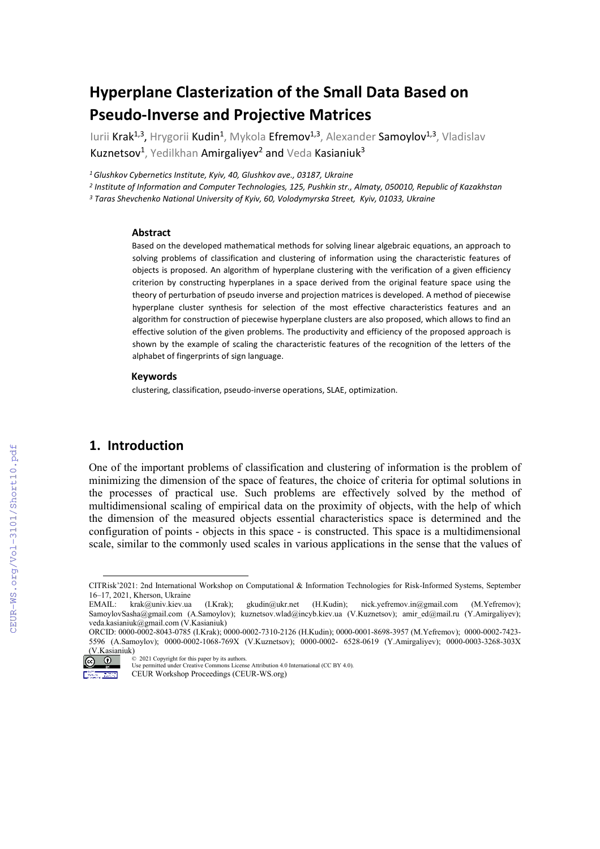# **Hyperplane Clasterization of the Small Data Based on Pseudo-Inverse and Projective Matrices**

Iurii Krak<sup>1,3</sup>, Hrygorii Kudin<sup>1</sup>, Mykola Efremov<sup>1,3</sup>, Alexander Samoylov<sup>1,3</sup>, Vladislav Kuznetsov<sup>1</sup>, Yedilkhan Amirgaliyev<sup>2</sup> and Veda Kasianiuk<sup>3</sup>

*1 Glushkov Cybernetics Institute, Kyiv, 40, Glushkov ave., 03187, Ukraine*

*<sup>2</sup> Institute of Information and Computer Technologies, 125, Pushkin str., Almaty, 050010, Republic of Kazakhstan*

*<sup>3</sup> Taras Shevchenko National University of Kyiv, 60, Volodymyrska Street, Kyiv, 01033, Ukraine*

#### **Abstract**

Based on the developed mathematical methods for solving linear algebraic equations, an approach to solving problems of classification and clustering of information using the characteristic features of objects is proposed. An algorithm of hyperplane clustering with the verification of a given efficiency criterion by constructing hyperplanes in a space derived from the original feature space using the theory of perturbation of pseudo inverse and projection matrices is developed. A method of piecewise hyperplane cluster synthesis for selection of the most effective characteristics features and an algorithm for construction of piecewise hyperplane clusters are also proposed, which allows to find an effective solution of the given problems. The productivity and efficiency of the proposed approach is shown by the example of scaling the characteristic features of the recognition of the letters of the alphabet of fingerprints of sign language.

#### **Keywords**

clustering, classification, pseudo-inverse operations, SLAE, optimization.

## **1. Introduction**

One of the important problems of classification and clustering of information is the problem of minimizing the dimension of the space of features, the choice of criteria for optimal solutions in the processes of practical use. Such problems are effectively solved by the method of multidimensional scaling of empirical data on the proximity of objects, with the help of which the dimension of the measured objects essential characteristics space is determined and the configuration of points - objects in this space - is constructed. This space is a multidimensional scale, similar to the commonly used scales in various applications in the sense that the values of

ORCID: 0000-0002-8043-0785 (I.Krak); 0000-0002-7310-2126 (H.Kudin); 0000-0001-8698-3957 (M.Yefremov); 0000-0002-7423- 5596 (A.Samoylov); 0000-0002-1068-769X (V.Kuznetsov); 0000-0002- 6528-0619 (Y.Amirgaliyev); 0000-0003-3268-303X  $\frac{(V.Kasianiuk)}{SQ}$ 



<sup>©</sup> 2021 Copyright for this paper by its authors. Use permitted under Creative Commons License Attribution 4.0 International (CC BY 4.0).

<span id="page-0-0"></span>CITRisk'2021: 2nd International Workshop on Computational & Information Technologies for Risk-Informed Systems, September 16–17, 2021, Kherson, Ukraine

EMAIL: krak@univ.kiev.ua (I.Krak); [gkudin@ukr.net](mailto:gkudin@ukr.net) (H.Kudin); nick.yefremov.in@gmail.com (M.Yefremov); [SamoylovSasha@gmail.com](mailto:SamoylovSasha@gmail.com) (A.Samoylov); kuznetsov.wla[d@i](mailto:Petrovych@nas.gov.ua)ncyb.kiev.ua (V.Kuznetsov); [amir\\_ed@mail.ru](mailto:amir_ed@mail.ru) (Y.Amirgaliyev); veda.kasianiuk@gmail.com (V.Kasianiuk)

CEUR Workshop Proceedings (CEUR-WS.org)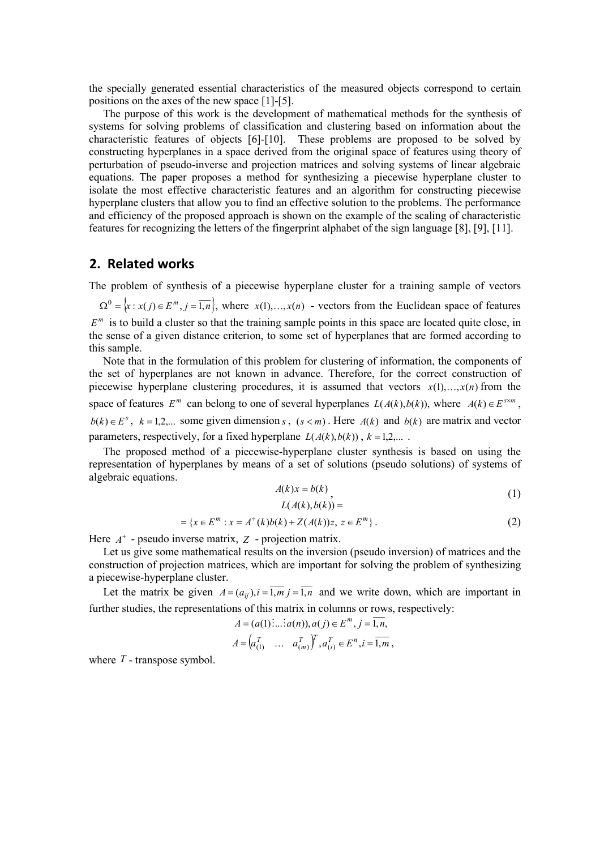the specially generated essential characteristics of the measured objects correspond to certain positions on the axes of the new space [1]-[5].

The purpose of this work is the development of mathematical methods for the synthesis of systems for solving problems of classification and clustering based on information about the characteristic features of objects [6]-[10]. These problems are proposed to be solved by constructing hyperplanes in a space derived from the original space of features using theory of perturbation of pseudo-inverse and projection matrices and solving systems of linear algebraic equations. The paper proposes a method for synthesizing a piecewise hyperplane cluster to isolate the most effective characteristic features and an algorithm for constructing piecewise hyperplane clusters that allow you to find an effective solution to the problems. The performance and efficiency of the proposed approach is shown on the example of the scaling of characteristic features for recognizing the letters of the fingerprint alphabet of the sign language [8], [9], [11].

# **2. Related works**

The problem of synthesis of a piecewise hyperplane cluster for a training sample of vectors

 ${\Omega}^0 = \{x : x(i) \in E^m, i = \overline{1,n}\}\,$  where  $x(1),...,x(n)$  - vectors from the Euclidean space of features  $E<sup>m</sup>$  is to build a cluster so that the training sample points in this space are located quite close, in the sense of a given distance criterion, to some set of hyperplanes that are formed according to this sample.

Note that in the formulation of this problem for clustering of information, the components of the set of hyperplanes are not known in advance. Therefore, for the correct construction of piecewise hyperplane clustering procedures, it is assumed that vectors  $x(1),...,x(n)$  from the space of features  $E^m$  can belong to one of several hyperplanes  $L(A(k), b(k))$ , where  $A(k) \in E^{s \times m}$ , *b*(*k*)∈ *E*<sup>*s*</sup>, *k* = 1,2,... some given dimension *s*, (*s* < *m*). Here *A*(*k*) and *b*(*k*) are matrix and vector parameters, respectively, for a fixed hyperplane  $L(A(k),b(k))$ ,  $k=1,2,...$ .

The proposed method of a piecewise-hyperplane cluster synthesis is based on using the representation of hyperplanes by means of a set of solutions (pseudo solutions) of systems of algebraic equations.

$$
A(k)x = b(k) \tag{1}
$$

$$
L(A(k),b(k)) =
$$

$$
= \{x \in E^m : x = A^+(k)b(k) + Z(A(k))z, z \in E^m\}.
$$
 (2)

Here  $A^+$  - pseudo inverse matrix,  $Z$  - projection matrix.

Let us give some mathematical results on the inversion (pseudo inversion) of matrices and the construction of projection matrices, which are important for solving the problem of synthesizing a piecewise-hyperplane cluster.

Let the matrix be given  $A = (a_{ij})$ ,  $i = \overline{1,m}$  *j* =  $\overline{1,n}$  and we write down, which are important in further studies, the representations of this matrix in columns or rows, respectively:

$$
A = (a(1) \dots a(n)), a(j) \in E^m, j = \overline{1, n},
$$
  

$$
A = \begin{pmatrix} a_{(1)}^T & \dots & a_{(m)}^T \end{pmatrix}^T, a_{(i)}^T \in E^n, i = \overline{1, m},
$$

where  $T$  - transpose symbol.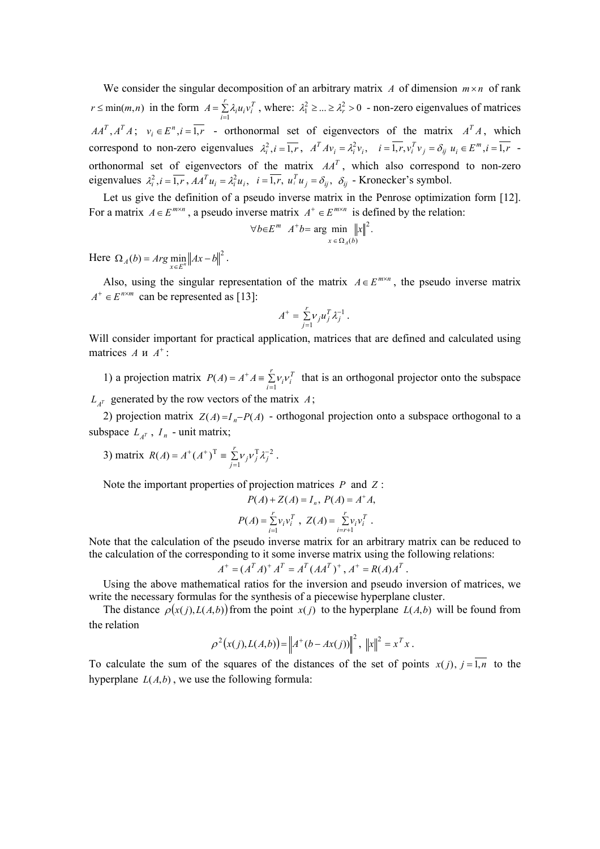We consider the singular decomposition of an arbitrary matrix *A* of dimension  $m \times n$  of rank  $r \le \min(m, n)$  in the form  $A = \sum \lambda_i u_i v_i^T$ *r*  $A = \sum_{i=1}^r \lambda_i u_i v_i^T$ , where:  $\lambda_1^2 \geq ... \geq \lambda_r^2 > 0$  - non-zero eigenvalues of matrices  $AA<sup>T</sup>, A<sup>T</sup>A$ ;  $v_i \in E<sup>n</sup>, i = 1, r$  - orthonormal set of eigenvectors of the matrix  $A<sup>T</sup>A$ , which correspond to non-zero eigenvalues  $\lambda_i^2$ ,  $i = \overline{1, r}$ ,  $A^T A v_i = \lambda_i^2 v_i$ ,  $i = 1, r, v_i^T v_j = \delta_{ij} u_i \in E^m$ ,  $i = 1, r$ orthonormal set of eigenvectors of the matrix  $AA<sup>T</sup>$ , which also correspond to non-zero eigenvalues  $\lambda_i^2$ ,  $i = \overline{1, r}$ ,  $AA^T u_i = \lambda_i^2 u_i$ ,  $i = 1, r$ ,  $u_i^T u_j = \delta_{ij}$ ,  $\delta_{ij}$  - Kronecker's symbol.

Let us give the definition of a pseudo inverse matrix in the Penrose optimization form [12]. For a matrix  $A \in E^{m \times n}$ , a pseudo inverse matrix  $A^+ \in E^{m \times n}$  is defined by the relation:

$$
\forall b \in E^{m} \quad A^{+}b = \arg \min_{x \in \Omega_{A}(b)} ||x||^{2}.
$$

Here  $\Omega_A(b) = Arg \min_{x \in E^n} ||Ax - b||^2$ .

Also, using the singular representation of the matrix  $A \in E^{m \times n}$ , the pseudo inverse matrix  $A^+ \in E^{n \times m}$  can be represented as [13]:

$$
A^+ = \sum_{j=1}^r v_j u_j^T \lambda_j^{-1}.
$$

Will consider important for practical application, matrices that are defined and calculated using matrices  $A \times A^+$ :

1) a projection matrix  $P(A) = A^+ A = \sum_{i=1}^{\infty}$  $+$  *r*  $\frac{r}{2}$  $P(A) = A^+ A = \sum_{i=1}^{r} v_i v_i^T$  that is an orthogonal projector onto the subspace  $L_{A^T}$  generated by the row vectors of the matrix  $A$ ;

2) projection matrix  $Z(A) = I_n - P(A)$  - orthogonal projection onto a subspace orthogonal to a subspace  $L_{A^T}$ ,  $I_n$  - unit matrix;

3) matrix 
$$
R(A) = A^+(A^+)^T = \sum_{j=1}^r v_j v_j^T \lambda_j^{-2}
$$
.

Note the important properties of projection matrices *P* and *Z* :

$$
P(A) + Z(A) = I_n, P(A) = A^* A,
$$
  

$$
P(A) = \sum_{i=1}^r v_i v_i^T, Z(A) = \sum_{i=r+1}^r v_i v_i^T.
$$

Note that the calculation of the pseudo inverse matrix for an arbitrary matrix can be reduced to the calculation of the corresponding to it some inverse matrix using the following relations:

$$
A^+ = (A^T A)^+ A^T = A^T (A A^T)^+, A^+ = R(A) A^T.
$$

Using the above mathematical ratios for the inversion and pseudo inversion of matrices, we write the necessary formulas for the synthesis of a piecewise hyperplane cluster.

The distance  $\rho(x(j),L(A,b))$  from the point  $x(j)$  to the hyperplane  $L(A,b)$  will be found from the relation

$$
\rho^{2}(x(j),L(A,b)) = \|A^{+}(b - Ax(j))\|^{2}, \|x\|^{2} = x^{T}x.
$$

To calculate the sum of the squares of the distances of the set of points  $x(j)$ ,  $j = \overline{1,n}$  to the hyperplane  $L(A,b)$ , we use the following formula: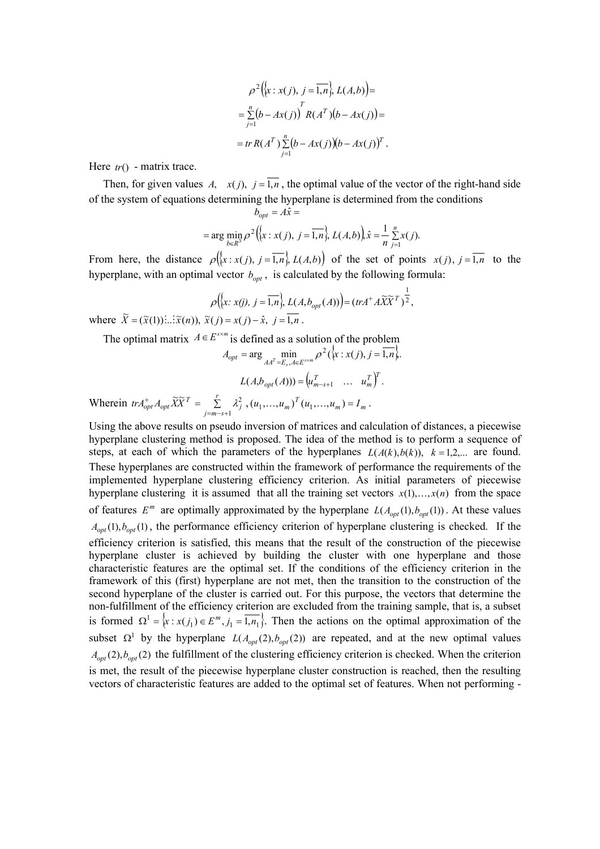$$
\rho^2(\big\{x : x(j), j = \overline{1, n}\big\}, L(A, b)) =
$$
  
= 
$$
\sum_{j=1}^n (b - Ax(j)) \prod_{j=1}^T R(A^T) (b - Ax(j)) =
$$
  
= tr R(A^T) 
$$
\sum_{j=1}^n (b - Ax(j)) (b - Ax(j))^T.
$$

Here *tr*() - matrix trace.

Then, for given values *A*,  $x(j)$ ,  $j = \overline{1,n}$ , the optimal value of the vector of the right-hand side of the system of equations determining the hyperplane is determined from the conditions

$$
b_{opt} = A\hat{x} =
$$
  
= arg min<sub>b∈R<sup>5</sup></sub>  $\rho^2 \left\{ \left\{ x : x(j), j = \overline{1,n} \right\}, L(A,b) \right\} \hat{x} = \frac{1}{n} \sum_{j=1}^n x(j).$ 

From here, the distance  $\rho((x : x(j), j = \overline{1,n}], L(A,b))$  of the set of points  $x(j), j = \overline{1,n}$  to the hyperplane, with an optimal vector  $b_{opt}$ , is calculated by the following formula:

$$
\rho\big(\big\{x: x(j), j=\overline{1,n}\big\}, L(A,b_{opt}(A))\big) = (trA^+A\widetilde{X}\widetilde{X}^T)^{\frac{1}{2}},
$$

where  $\widetilde{X} = (\widetilde{x}(1)) \vdots \vdots \widetilde{x}(n)$ ,  $\widetilde{x}(j) = x(j) - \hat{x}, j = \overline{1,n}$ .

The optimal matrix  $A \in E^{s \times m}$  is defined as a solution of the problem

$$
A_{opt} = \arg \min_{AA^T = E_s, A \in E^{s \times m}} \rho^2 (\{x : x(j), j = \overline{1, n}\}).
$$
  

$$
L(A, b_{opt}(A))) = (u_{m-s+1}^T \dots u_m^T)^T.
$$

Wherein  $tr A_{opt}^{\dagger} A_{opt} X X^T = \sum_{j=m-s+1}$ + *A*  $\widetilde{V}\widetilde{V}^T$  –  $\overline{S}$  $tr A_{opt}^+ A_{opt} \widetilde{X} \widetilde{X}^T = \sum_{j=m-s+1}^r \lambda_j^2$ ,  $(u_1,...,u_m)^T (u_1,...,u_m) = I_m$ .

Using the above results on pseudo inversion of matrices and calculation of distances, a piecewise hyperplane clustering method is proposed. The idea of the method is to perform a sequence of steps, at each of which the parameters of the hyperplanes  $L(A(k),b(k))$ ,  $k=1,2,...$  are found. These hyperplanes are constructed within the framework of performance the requirements of the implemented hyperplane clustering efficiency criterion. As initial parameters of piecewise hyperplane clustering it is assumed that all the training set vectors  $x(1),...,x(n)$  from the space of features  $E^m$  are optimally approximated by the hyperplane  $L(A_{opt}(1), b_{opt}(1))$ . At these values  $A_{opt}(1)$ ,  $b_{opt}(1)$ , the performance efficiency criterion of hyperplane clustering is checked. If the efficiency criterion is satisfied, this means that the result of the construction of the piecewise hyperplane cluster is achieved by building the cluster with one hyperplane and those characteristic features are the optimal set. If the conditions of the efficiency criterion in the framework of this (first) hyperplane are not met, then the transition to the construction of the second hyperplane of the cluster is carried out. For this purpose, the vectors that determine the non-fulfillment of the efficiency criterion are excluded from the training sample, that is, a subset is formed  $\Omega^1 = \{x : x(j_1) \in E^m, j_1 = \overline{1, n_1}\}$ . Then the actions on the optimal approximation of the subset  $\Omega^1$  by the hyperplane  $L(A_{opt}(2), b_{opt}(2))$  are repeated, and at the new optimal values  $A_{opt}(2)$ ,  $b_{opt}(2)$  the fulfillment of the clustering efficiency criterion is checked. When the criterion is met, the result of the piecewise hyperplane cluster construction is reached, then the resulting vectors of characteristic features are added to the optimal set of features. When not performing -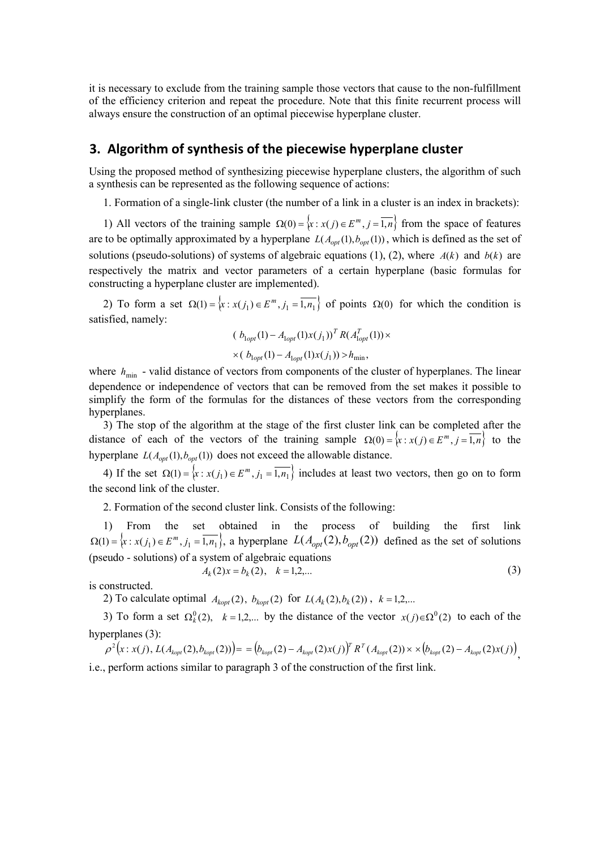it is necessary to exclude from the training sample those vectors that cause to the non-fulfillment of the efficiency criterion and repeat the procedure. Note that this finite recurrent process will always ensure the construction of an optimal piecewise hyperplane cluster.

## **3. Algorithm of synthesis of the piecewise hyperplane cluster**

Using the proposed method of synthesizing piecewise hyperplane clusters, the algorithm of such a synthesis can be represented as the following sequence of actions:

1. Formation of a single-link cluster (the number of a link in a cluster is an index in brackets):

1) All vectors of the training sample  $\Omega(0) = \{x : x(j) \in E^m, j = \overline{1,n}\}\$  from the space of features are to be optimally approximated by a hyperplane  $L(A_{opt}(1), b_{opt}(1))$ , which is defined as the set of solutions (pseudo-solutions) of systems of algebraic equations (1), (2), where  $A(k)$  and  $b(k)$  are respectively the matrix and vector parameters of a certain hyperplane (basic formulas for constructing a hyperplane cluster are implemented).

2) To form a set  $\Omega(1) = \{x : x(j_1) \in E^m, j_1 = \overline{1, n_1}\}$  of points  $\Omega(0)$  for which the condition is satisfied, namely:

$$
(b_{\text{lopt}}(1) - A_{\text{lopt}}(1)x(j_1))^T R(A_{\text{lopt}}^T(1)) \times
$$
  
×
$$
(b_{\text{lopt}}(1) - A_{\text{lopt}}(1)x(j_1)) > h_{\text{min}},
$$

where  $h_{\min}$  - valid distance of vectors from components of the cluster of hyperplanes. The linear dependence or independence of vectors that can be removed from the set makes it possible to simplify the form of the formulas for the distances of these vectors from the corresponding hyperplanes.

3) The stop of the algorithm at the stage of the first cluster link can be completed after the distance of each of the vectors of the training sample  $\Omega(0) = \{x : x(j) \in E^m, j = \overline{1,n}\}\)$  to the hyperplane  $L(A_{opt}(1), b_{opt}(1))$  does not exceed the allowable distance.

4) If the set  $\Omega(1) = \{x : x(j_1) \in E^m, j_1 = \overline{1, n_1}\}$  includes at least two vectors, then go on to form the second link of the cluster.

2. Formation of the second cluster link. Consists of the following:

1) From the set obtained in the process of building the first link  $\Omega(1) = \{x : x(j_1) \in E^m, j_1 = \overline{1, n_1}\}$ , a hyperplane  $L(A_{opt}(2), b_{opt}(2))$  defined as the set of solutions (pseudo - solutions) of a system of algebraic equations  $A_k(2)x = b_k(2), \quad k = 1, 2, \dots$  (3)

is constructed.

2) To calculate optimal  $A_{kopt}(2)$ ,  $b_{kopt}(2)$  for  $L(A_k(2), b_k(2))$ ,  $k = 1,2,...$ 

3) To form a set  $\Omega_k^0(2)$ ,  $k = 1,2,...$  by the distance of the vector  $x(j) \in \Omega^0(2)$  to each of the hyperplanes (3):

 $\rho^2(x:x(j), L(A_{kopt}(2),b_{kopt}(2))) = (b_{kopt}(2) - A_{kopt}(2)x(j))^T R^T(A_{kopt}(2)) \times \times (b_{kopt}(2) - A_{kopt}(2)x(j)),$ i.e., perform actions similar to paragraph 3 of the construction of the first link.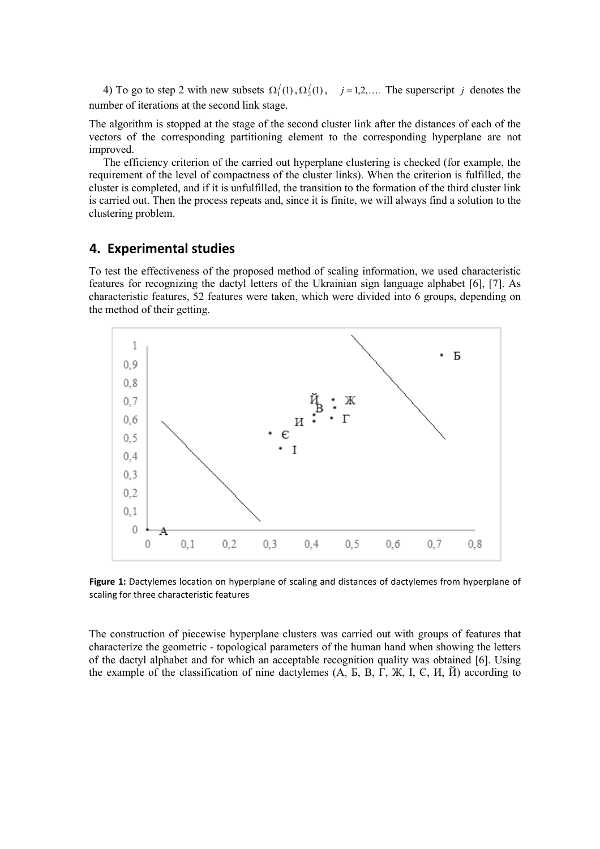4) To go to step 2 with new subsets  $\Omega_1^j(1), \Omega_2^j(1), j = 1, 2, \dots$  The superscript *j* denotes the number of iterations at the second link stage.

The algorithm is stopped at the stage of the second cluster link after the distances of each of the vectors of the corresponding partitioning element to the corresponding hyperplane are not improved.

The efficiency criterion of the carried out hyperplane clustering is checked (for example, the requirement of the level of compactness of the cluster links). When the criterion is fulfilled, the cluster is completed, and if it is unfulfilled, the transition to the formation of the third cluster link is carried out. Then the process repeats and, since it is finite, we will always find a solution to the clustering problem.

# **4. Experimental studies**

To test the effectiveness of the proposed method of scaling information, we used characteristic features for recognizing the dactyl letters of the Ukrainian sign language alphabet [6], [7]. As characteristic features, 52 features were taken, which were divided into 6 groups, depending on the method of their getting.



**Figure 1:** Dactylemes location on hyperplane of scaling and distances of dactylemes from hyperplane of scaling for three characteristic features

The construction of piecewise hyperplane clusters was carried out with groups of features that characterize the geometric - topological parameters of the human hand when showing the letters of the dactyl alphabet and for which an acceptable recognition quality was obtained [6]. Using the example of the classification of nine dactylemes  $(A, B, B, \Gamma, \mathcal{K}, I, \mathcal{C}, M, \check{H})$  according to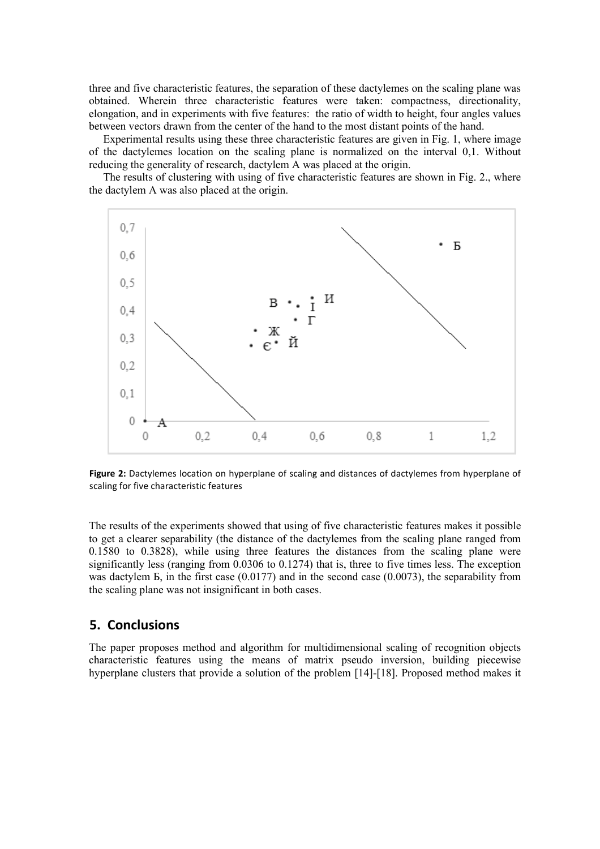three and five characteristic features, the separation of these dactylemes on the scaling plane was obtained. Wherein three characteristic features were taken: compactness, directionality, elongation, and in experiments with five features: the ratio of width to height, four angles values between vectors drawn from the center of the hand to the most distant points of the hand.

Experimental results using these three characteristic features are given in Fig. 1, where image of the dactylemes location on the scaling plane is normalized on the interval 0,1. Without reducing the generality of research, dactylem A was placed at the origin.

The results of clustering with using of five characteristic features are shown in Fig. 2., where the dactylem A was also placed at the origin.



**Figure 2:** Dactylemes location on hyperplane of scaling and distances of dactylemes from hyperplane of scaling for five characteristic features

The results of the experiments showed that using of five characteristic features makes it possible to get a clearer separability (the distance of the dactylemes from the scaling plane ranged from 0.1580 to 0.3828), while using three features the distances from the scaling plane were significantly less (ranging from 0.0306 to 0.1274) that is, three to five times less. The exception was dactylem  $\overline{b}$ , in the first case (0.0177) and in the second case (0.0073), the separability from the scaling plane was not insignificant in both cases.

# **5. Conclusions**

The paper proposes method and algorithm for multidimensional scaling of recognition objects characteristic features using the means of matrix pseudo inversion, building piecewise hyperplane clusters that provide a solution of the problem [14]-[18]. Proposed method makes it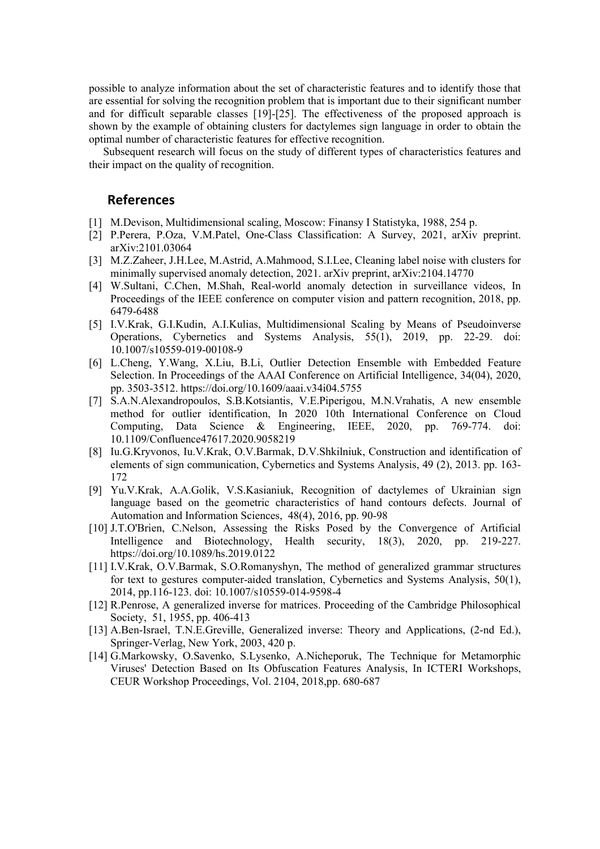possible to analyze information about the set of characteristic features and to identify those that are essential for solving the recognition problem that is important due to their significant number and for difficult separable classes [19]-[25]. The effectiveness of the proposed approach is shown by the example of obtaining clusters for dactylemes sign language in order to obtain the optimal number of characteristic features for effective recognition.

Subsequent research will focus on the study of different types of characteristics features and their impact on the quality of recognition.

#### **References**

- [1] M.Devison, Multidimensional scaling, Moscow: Finansy I Statistyka, 1988, 254 p.
- [2] P.Perera, P.Oza, V.M.Patel, One-Class Classification: A Survey, 2021, arXiv preprint. arXiv:2101.03064
- [3] M.Z.Zaheer, J.H.Lee, M.Astrid, A.Mahmood, S.I.Lee, Cleaning label noise with clusters for minimally supervised anomaly detection, 2021. arXiv preprint, arXiv:2104.14770
- [4] W.Sultani, C.Chen, M.Shah, Real-world anomaly detection in surveillance videos, In Proceedings of the IEEE conference on computer vision and pattern recognition, 2018, pp. 6479-6488
- [5] I.V.Krak, G.I.Kudin, A.I.Kulias, Multidimensional Scaling by Means of Pseudoinverse Operations, Cybernetics and Systems Analysis, 55(1), 2019, pp. 22-29. doi: 10.1007/s10559-019-00108-9
- [6] L.Cheng, Y.Wang, X.Liu, B.Li, Outlier Detection Ensemble with Embedded Feature Selection. In Proceedings of the AAAI Conference on Artificial Intelligence, 34(04), 2020, pp. 3503-3512.<https://doi.org/10.1609/aaai.v34i04.5755>
- [7] S.A.N.Alexandropoulos, S.B.Kotsiantis, V.E.Piperigou, M.N.Vrahatis, A new ensemble method for outlier identification, In 2020 10th International Conference on Cloud Computing, Data Science & Engineering, IEEE, 2020, pp. 769-774. doi: 10.1109/Confluence47617.2020.9058219
- [8] Iu.G[.Kryvonos,](http://link.springer.com/search?facet-creator=%22Iu.+G.+Kryvonos%22) Iu.V[.Krak,](http://link.springer.com/search?facet-creator=%22Iu.+V.+Krak%22) O.V[.Barmak,](http://link.springer.com/search?facet-creator=%22O.+V.+Barmak%22) D.V[.Shkilniuk,](http://link.springer.com/search?facet-creator=%22D.+V.+Shkilniuk%22) Construction and identification of elements of sign communication, [Cybernetics and Systems Analysis,](http://link.springer.com/journal/10559) 49 (2), 2013. pp. 163- 172
- [9] Yu.V.Krak, A.A.Golik, V.S.Kasianiuk, Recognition of dactylemes of Ukrainian sign language based on the geometric characteristics of hand contours defects. Journal of Automation and Information Sciences, 48(4), 2016, pp. 90-98
- [10] J.T.O'Brien, C.Nelson, Assessing the Risks Posed by the Convergence of Artificial Intelligence and Biotechnology, Health security, 18(3), 2020, pp. 219-227. <https://doi.org/10.1089/hs.2019.0122>
- [11] I.V.Krak, O.V.Barmak, S.O.Romanyshyn, The method of generalized grammar structures for text to gestures computer-aided translation, Cybernetics and Systems Analysis, 50(1), 2014, pp.116-123. doi: 10.1007/s10559-014-9598-4
- [12] R.Penrose, A generalized inverse for matrices. Proceeding of the Cambridge Philosophical Society, 51, 1955, pp. 406-413
- [13] A.Ben-Israel, T.N.E.Greville, Generalized inverse: Theory and Applications, (2-nd Ed.), Springer-Verlag, New York, 2003, 420 p.
- [14] G.Markowsky, O.Savenko, S.Lysenko, A.Nicheporuk, The Technique for Metamorphic Viruses' Detection Based on Its Obfuscation Features Analysis, In ICTERI Workshops, CEUR Workshop Proceedings, Vol. 2104, 2018,pp. 680-687